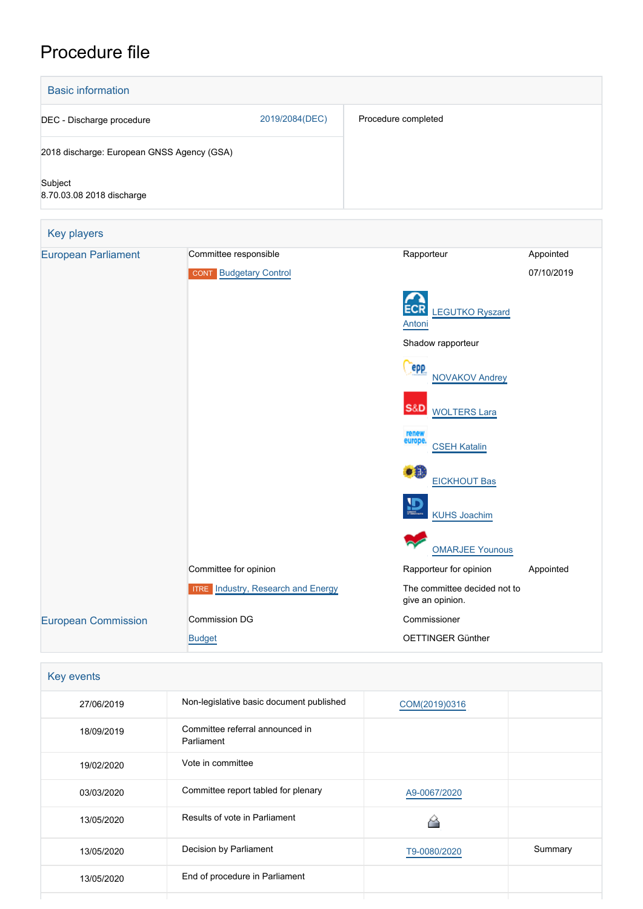# Procedure file



| Key events |                                               |               |         |
|------------|-----------------------------------------------|---------------|---------|
| 27/06/2019 | Non-legislative basic document published      | COM(2019)0316 |         |
| 18/09/2019 | Committee referral announced in<br>Parliament |               |         |
| 19/02/2020 | Vote in committee                             |               |         |
| 03/03/2020 | Committee report tabled for plenary           | A9-0067/2020  |         |
| 13/05/2020 | Results of vote in Parliament                 |               |         |
| 13/05/2020 | Decision by Parliament                        | T9-0080/2020  | Summary |
| 13/05/2020 | End of procedure in Parliament                |               |         |
|            |                                               |               |         |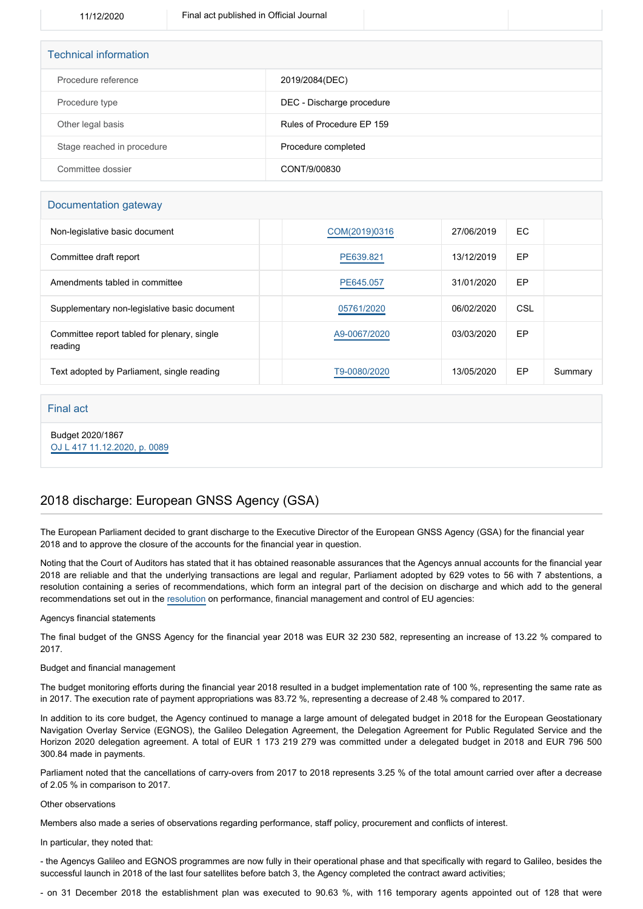| <b>Technical information</b> |                           |  |  |  |
|------------------------------|---------------------------|--|--|--|
| Procedure reference          | 2019/2084(DEC)            |  |  |  |
| Procedure type               | DEC - Discharge procedure |  |  |  |
| Other legal basis            | Rules of Procedure EP 159 |  |  |  |
| Stage reached in procedure   | Procedure completed       |  |  |  |
| Committee dossier            | CONT/9/00830              |  |  |  |

### Documentation gateway

| Non-legislative basic document                         | COM(2019)0316 | 27/06/2019 | EC.       |         |
|--------------------------------------------------------|---------------|------------|-----------|---------|
| Committee draft report                                 | PE639.821     | 13/12/2019 | EP        |         |
| Amendments tabled in committee                         | PE645.057     | 31/01/2020 | <b>EP</b> |         |
| Supplementary non-legislative basic document           | 05761/2020    | 06/02/2020 | CSL       |         |
| Committee report tabled for plenary, single<br>reading | A9-0067/2020  | 03/03/2020 | <b>EP</b> |         |
| Text adopted by Parliament, single reading             | T9-0080/2020  | 13/05/2020 | EP        | Summary |

### Final act

Budget 2020/1867 [OJ L 417 11.12.2020, p. 0089](https://eur-lex.europa.eu/legal-content/EN/TXT/?uri=OJ:L:2020:417:TOC)

## 2018 discharge: European GNSS Agency (GSA)

The European Parliament decided to grant discharge to the Executive Director of the European GNSS Agency (GSA) for the financial year 2018 and to approve the closure of the accounts for the financial year in question.

Noting that the Court of Auditors has stated that it has obtained reasonable assurances that the Agencys annual accounts for the financial year 2018 are reliable and that the underlying transactions are legal and regular, Parliament adopted by 629 votes to 56 with 7 abstentions, a resolution containing a series of recommendations, which form an integral part of the decision on discharge and which add to the general recommendations set out in the [resolution](https://oeil.secure.europarl.europa.eu/oeil/popups/ficheprocedure.do?lang=en&reference=2019/2098(DEC)) on performance, financial management and control of EU agencies:

### Agencys financial statements

The final budget of the GNSS Agency for the financial year 2018 was EUR 32 230 582, representing an increase of 13.22 % compared to 2017.

### Budget and financial management

The budget monitoring efforts during the financial year 2018 resulted in a budget implementation rate of 100 %, representing the same rate as in 2017. The execution rate of payment appropriations was 83.72 %, representing a decrease of 2.48 % compared to 2017.

In addition to its core budget, the Agency continued to manage a large amount of delegated budget in 2018 for the European Geostationary Navigation Overlay Service (EGNOS), the Galileo Delegation Agreement, the Delegation Agreement for Public Regulated Service and the Horizon 2020 delegation agreement. A total of EUR 1 173 219 279 was committed under a delegated budget in 2018 and EUR 796 500 300.84 made in payments.

Parliament noted that the cancellations of carry-overs from 2017 to 2018 represents 3.25 % of the total amount carried over after a decrease of 2.05 % in comparison to 2017.

#### Other observations

Members also made a series of observations regarding performance, staff policy, procurement and conflicts of interest.

In particular, they noted that:

- the Agencys Galileo and EGNOS programmes are now fully in their operational phase and that specifically with regard to Galileo, besides the successful launch in 2018 of the last four satellites before batch 3, the Agency completed the contract award activities;

- on 31 December 2018 the establishment plan was executed to 90.63 %, with 116 temporary agents appointed out of 128 that were